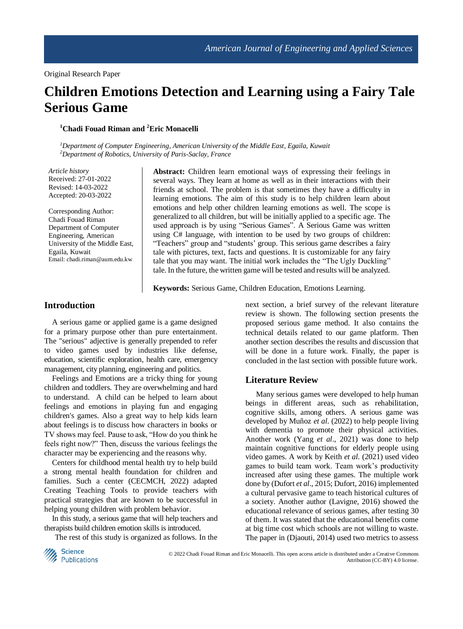# **Children Emotions Detection and Learning using a Fairy Tale Serious Game**

**<sup>1</sup>Chadi Fouad Riman and <sup>2</sup>Eric Monacelli**

*<sup>1</sup>Department of Computer Engineering, American University of the Middle East, Egaila, Kuwait <sup>2</sup>Department of Robotics, University of Paris-Saclay, France*

*Article history* Received: 27-01-2022 Revised: 14-03-2022 Accepted: 20-03-2022

Corresponding Author: Chadi Fouad Riman Department of Computer Engineering, American University of the Middle East, Egaila, Kuwait Email: chadi.riman@aum.edu.kw

**Abstract:** Children learn emotional ways of expressing their feelings in several ways. They learn at home as well as in their interactions with their friends at school. The problem is that sometimes they have a difficulty in learning emotions. The aim of this study is to help children learn about emotions and help other children learning emotions as well. The scope is generalized to all children, but will be initially applied to a specific age. The used approach is by using "Serious Games". A Serious Game was written using C# language, with intention to be used by two groups of children: "Teachers" group and "students' group. This serious game describes a fairy tale with pictures, text, facts and questions. It is customizable for any fairy tale that you may want. The initial work includes the "The Ugly Duckling" tale. In the future, the written game will be tested and results will be analyzed.

**Keywords:** Serious Game, Children Education, Emotions Learning.

### **Introduction**

A serious game or applied game is a game designed for a primary purpose other than pure entertainment. The "serious" adjective is generally prepended to refer to video games used by industries like defense, education, scientific exploration, health care, emergency management, city planning, engineering and politics.

Feelings and Emotions are a tricky thing for young children and toddlers. They are overwhelming and hard to understand. A child can be helped to learn about feelings and emotions in playing fun and engaging children's games. Also a great way to help kids learn about feelings is to discuss how characters in books or TV shows may feel. Pause to ask, "How do you think he feels right now?" Then, discuss the various feelings the character may be experiencing and the reasons why.

Centers for childhood mental health try to help build a strong mental health foundation for children and families. Such a center (CECMCH, 2022) adapted Creating Teaching Tools to provide teachers with practical strategies that are known to be successful in helping young children with problem behavior.

In this study, a serious game that will help teachers and therapists build children emotion skills is introduced.

The rest of this study is organized as follows. In the

next section, a brief survey of the relevant literature review is shown. The following section presents the proposed serious game method. It also contains the technical details related to our game platform. Then another section describes the results and discussion that will be done in a future work. Finally, the paper is concluded in the last section with possible future work.

#### **Literature Review**

Many serious games were developed to help human beings in different areas, such as rehabilitation, cognitive skills, among others. A serious game was developed by Muñoz *et al*. (2022) to help people living with dementia to promote their physical activities. Another work (Yang *et al*., 2021) was done to help maintain cognitive functions for elderly people using video games. A work by Keith *et al*. (2021) used video games to build team work. Team work's productivity increased after using these games. The multiple work done by (Dufort *et al*., 2015; Dufort, 2016) implemented a cultural pervasive game to teach historical cultures of a society. Another author (Lavigne, 2016) showed the educational relevance of serious games, after testing 30 of them. It was stated that the educational benefits come at big time cost which schools are not willing to waste. The paper in (Djaouti, 2014) used two metrics to assess



© 2022 Chadi Fouad Riman and Eric Monacelli. This open access article is distributed under a Creative Commons Attribution (CC-BY) 4.0 license.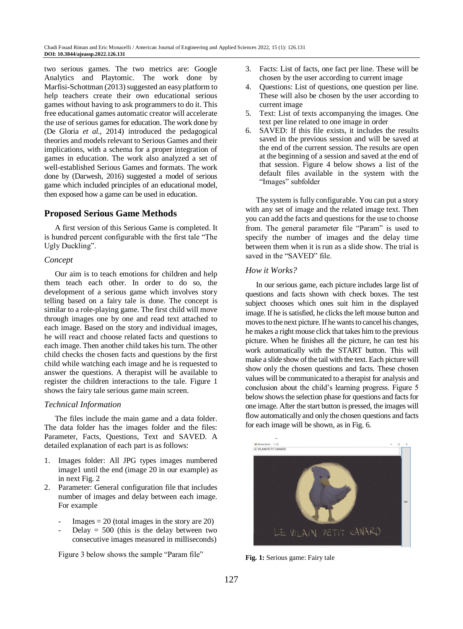two serious games. The two metrics are: Google Analytics and Playtomic. The work done by Marfisi-Schottman (2013) suggested an easy platform to help teachers create their own educational serious games without having to ask programmers to do it. This free educational games automatic creator will accelerate the use of serious games for education. The work done by (De Gloria *et al*., 2014) introduced the pedagogical theories and models relevant to Serious Games and their implications, with a schema for a proper integration of games in education. The work also analyzed a set of well-established Serious Games and formats. The work done by (Darwesh, 2016) suggested a model of serious game which included principles of an educational model, then exposed how a game can be used in education.

## **Proposed Serious Game Methods**

A first version of this Serious Game is completed. It is hundred percent configurable with the first tale "The Ugly Duckling".

### *Concept*

Our aim is to teach emotions for children and help them teach each other. In order to do so, the development of a serious game which involves story telling based on a fairy tale is done. The concept is similar to a role-playing game. The first child will move through images one by one and read text attached to each image. Based on the story and individual images, he will react and choose related facts and questions to each image. Then another child takes his turn. The other child checks the chosen facts and questions by the first child while watching each image and he is requested to answer the questions. A therapist will be available to register the children interactions to the tale. Figure 1 shows the fairy tale serious game main screen.

#### *Technical Information*

The files include the main game and a data folder. The data folder has the images folder and the files: Parameter, Facts, Questions, Text and SAVED. A detailed explanation of each part is as follows:

- 1. Images folder: All JPG types images numbered image1 until the end (image 20 in our example) as in next Fig. 2
- 2. Parameter: General configuration file that includes number of images and delay between each image. For example
	- $\text{Images} = 20$  (total images in the story are 20)
	- Delay  $= 500$  (this is the delay between two consecutive images measured in milliseconds)

Figure 3 below shows the sample "Param file"

- 3. Facts: List of facts, one fact per line. These will be chosen by the user according to current image
- 4. Questions: List of questions, one question per line. These will also be chosen by the user according to current image
- 5. Text: List of texts accompanying the images. One text per line related to one image in order
- 6. SAVED: If this file exists, it includes the results saved in the previous session and will be saved at the end of the current session. The results are open at the beginning of a session and saved at the end of that session. Figure 4 below shows a list of the default files available in the system with the "Images" subfolder

The system is fully configurable. You can put a story with any set of image and the related image text. Then you can add the facts and questions for the use to choose from. The general parameter file "Param" is used to specify the number of images and the delay time between them when it is run as a slide show. The trial is saved in the "SAVED" file.

### *How it Works?*

In our serious game, each picture includes large list of questions and facts shown with check boxes. The test subject chooses which ones suit him in the displayed image. If he is satisfied, he clicks the left mouse button and moves to the next picture. If he wants to cancel his changes, he makes a right mouse click that takes him to the previous picture. When he finishes all the picture, he can test his work automatically with the START button. This will make a slide show of the tail with the text. Each picture will show only the chosen questions and facts. These chosen values will be communicated to a therapist for analysis and conclusion about the child's learning progress. Figure 5 below shows the selection phase for questions and facts for one image. After the start button is pressed, the images will flow automatically and only the chosen questions and facts for each image will be shown, as in Fig. 6.



**Fig. 1:** Serious game: Fairy tale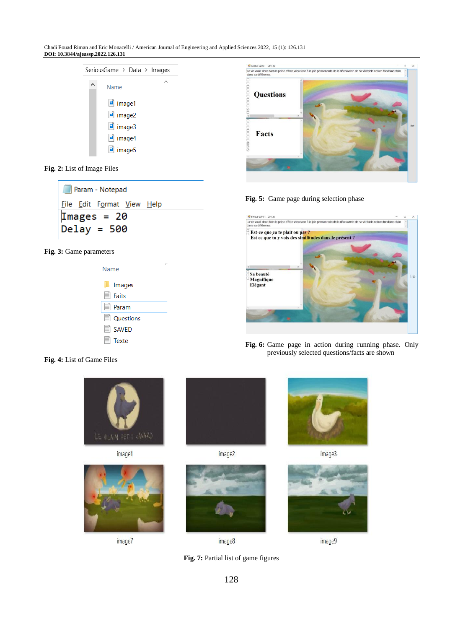Chadi Fouad Riman and Eric Monacelli / American Journal of Engineering and Applied Sciences 2022, 15 (1): 126.131 **DOI: 10.3844/ajeassp.2022.126.131**

| SeriousGame > Data > Images |  |  |  |  |  |
|-----------------------------|--|--|--|--|--|
| Name                        |  |  |  |  |  |
| $\blacksquare$ image1       |  |  |  |  |  |
| mimage2                     |  |  |  |  |  |
| $\blacksquare$ image3       |  |  |  |  |  |
| image4                      |  |  |  |  |  |
| m image5                    |  |  |  |  |  |
|                             |  |  |  |  |  |

**Fig. 2:** List of Image Files

| <b>Param - Notepad</b>                   |  |                            |  |  |  |  |
|------------------------------------------|--|----------------------------|--|--|--|--|
|                                          |  | Eile Edit Format View Help |  |  |  |  |
| $\textsf{Images} = 20$<br>$Deltay = 500$ |  |                            |  |  |  |  |

Fig. 3: Game parameters





**Fig. 5:** Game page during selection phase



**Fig. 6:** Game page in action during running phase. Only previously selected questions/facts are shown

**Fig. 4:** List of Game Files



image1



image7



image2



image8





image3



image9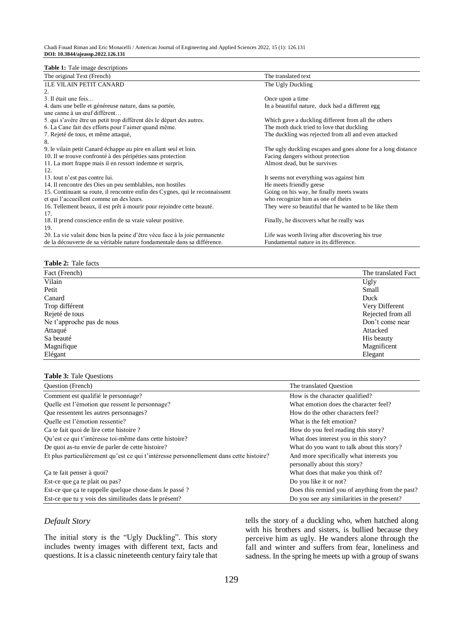#### **Table 1:** Tale image descriptions

| <b>Table 1:</b> Tale image descriptions                                      |                                                              |
|------------------------------------------------------------------------------|--------------------------------------------------------------|
| The original Text (French)                                                   | The translated text                                          |
| <b>ILE VILAIN PETIT CANARD</b>                                               | The Ugly Duckling                                            |
| 2.                                                                           |                                                              |
| 3. Il était une fois                                                         | Once upon a time                                             |
| 4. dans une belle et généreuse nature, dans sa portée,                       | In a beautiful nature, duck had a different egg              |
| une canne à un œuf différent                                                 |                                                              |
| 5. qui s'avère être un petit trop différent dès le départ des autres.        | Which gave a duckling different from all the others          |
| 6. La Cane fait des efforts pour l'aimer quand même.                         | The moth duck tried to love that duckling                    |
| 7. Rejeté de tous, et même attaqué,                                          | The duckling was rejected from all and even attacked         |
| 8.                                                                           |                                                              |
| 9. le vilain petit Canard échappe au pire en allant seul et loin.            | The ugly duckling escapes and goes alone for a long distance |
| 10. Il se trouve confronté à des péripéties sans protection                  | Facing dangers without protection                            |
| 11. La mort frappe mais il en ressort indemne et surpris,                    | Almost dead, but he survives                                 |
| 12.                                                                          |                                                              |
| 13. tout n'est pas contre lui.                                               | It seems not everything was against him                      |
| 14. Il rencontre des Oies un peu semblables, non hostiles                    | He meets friendly geese                                      |
| 15. Continuant sa route, il rencontre enfin des Cygnes, qui le reconnaissent | Going on his way, he finally meets swans                     |
| et qui l'accueillent comme un des leurs.                                     | who recognize him as one of theirs                           |
| 16. Tellement beaux, il est prêt à mourir pour rejoindre cette beauté.       | They were so beautiful that he wanted to be like them        |
| 17.                                                                          |                                                              |
| 18. Il prend conscience enfin de sa vraie valeur positive.                   | Finally, he discovers what he really was                     |
| 19.                                                                          |                                                              |
| 20. La vie valait donc bien la peine d'être vécu face à la joie permanente   | Life was worth living after discovering his true             |
| de la découverte de sa véritable nature fondamentale dans sa différence.     | Fundamental nature in its difference.                        |

## **Table 2:** Tale facts

| Fact (French)             | The translated Fact |
|---------------------------|---------------------|
| Vilain                    | Ugly                |
| Petit                     | Small               |
| Canard                    | Duck                |
| Trop différent            | Very Different      |
| Rejeté de tous            | Rejected from all   |
| Ne t'approche pas de nous | Don't come near     |
| Attaqué                   | Attacked            |
| Sa beauté                 | His beauty          |
| Magnifique                | Magnificent         |
| Elégant                   | Elegant             |

#### **Table 3:** Tale Questions

| <b>Ouestion</b> (French)                                                                | The translated Ouestion                                                  |
|-----------------------------------------------------------------------------------------|--------------------------------------------------------------------------|
| Comment est qualifié le personnage?                                                     | How is the character qualified?                                          |
| Quelle est l'émotion que ressent le personnage?                                         | What emotion does the character feel?                                    |
| Que ressentent les autres personnages?                                                  | How do the other characters feel?                                        |
| Quelle est l'émotion ressentie?                                                         | What is the felt emotion?                                                |
| Ca te fait quoi de lire cette histoire?                                                 | How do you feel reading this story?                                      |
| Qu'est ce qui t'intéresse toi-même dans cette histoire?                                 | What does interest you in this story?                                    |
| De quoi as-tu envie de parler de cette histoire?                                        | What do you want to talk about this story?                               |
| Et plus particulièrement qu'est ce qui t'intéresse personnellement dans cette histoire? | And more specifically what interests you<br>personally about this story? |
| Ca te fait penser à quoi?                                                               | What does that make you think of?                                        |
| Est-ce que ça te plait ou pas?                                                          | Do you like it or not?                                                   |
| Est-ce que ça te rappelle quelque chose dans le passé ?                                 | Does this remind you of anything from the past?                          |
| Est-ce que tu y vois des similitudes dans le présent?                                   | Do you see any similarities in the present?                              |

## *Default Story*

The initial story is the "Ugly Duckling". This story includes twenty images with different text, facts and questions. It is a classic nineteenth century fairy tale that tells the story of a duckling who, when hatched along with his brothers and sisters, is bullied because they perceive him as ugly. He wanders alone through the fall and winter and suffers from fear, loneliness and sadness. In the spring he meets up with a group of swans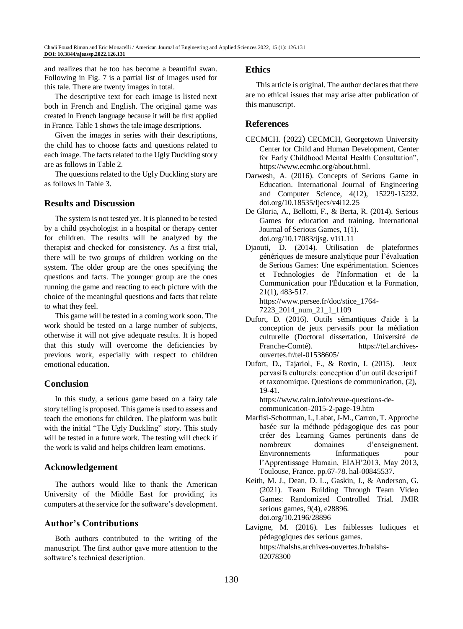and realizes that he too has become a beautiful swan. Following in Fig. 7 is a partial list of images used for this tale. There are twenty images in total.

The descriptive text for each image is listed next both in French and English. The original game was created in French language because it will be first applied in France. Table 1 shows the tale image descriptions.

Given the images in series with their descriptions, the child has to choose facts and questions related to each image. The facts related to the Ugly Duckling story are as follows in Table 2.

The questions related to the Ugly Duckling story are as follows in Table 3.

## **Results and Discussion**

The system is not tested yet. It is planned to be tested by a child psychologist in a hospital or therapy center for children. The results will be analyzed by the therapist and checked for consistency. As a first trial, there will be two groups of children working on the system. The older group are the ones specifying the questions and facts. The younger group are the ones running the game and reacting to each picture with the choice of the meaningful questions and facts that relate to what they feel.

This game will be tested in a coming work soon. The work should be tested on a large number of subjects, otherwise it will not give adequate results. It is hoped that this study will overcome the deficiencies by previous work, especially with respect to children emotional education.

## **Conclusion**

In this study, a serious game based on a fairy tale story telling is proposed. This game is used to assess and teach the emotions for children. The platform was built with the initial "The Ugly Duckling" story. This study will be tested in a future work. The testing will check if the work is valid and helps children learn emotions.

## **Acknowledgement**

The authors would like to thank the American University of the Middle East for providing its computers at the service for the software's development.

## **Author's Contributions**

Both authors contributed to the writing of the manuscript. The first author gave more attention to the software's technical description.

#### **Ethics**

This article is original. The author declares that there are no ethical issues that may arise after publication of this manuscript.

## **References**

- CECMCH. (2022) CECMCH, Georgetown University Center for Child and Human Development, Center for Early Childhood Mental Health Consultation", [https://www.ecmhc.org/about.html.](https://www.ecmhc.org/about.html)
- Darwesh, A. (2016). Concepts of Serious Game in Education. International Journal of Engineering and Computer Science, 4(12), 15229-15232. doi.org/10.18535/Ijecs/v4i12.25
- De Gloria, A., Bellotti, F., & Berta, R. (2014). Serious Games for education and training. International Journal of Serious Games, 1(1). doi.org/10.17083/ijsg. v1i1.11
- Djaouti, D. (2014). Utilisation de plateformes génériques de mesure analytique pour l'évaluation de Serious Games: Une expérimentation. Sciences et Technologies de l'Information et de la Communication pour l'Éducation et la Formation, 21(1), 483-517. [https://www.persee.fr/doc/stice\\_1764-](https://www.persee.fr/doc/stice_1764-7223_2014_num_21_1_1109)

[7223\\_2014\\_num\\_21\\_1\\_1109](https://www.persee.fr/doc/stice_1764-7223_2014_num_21_1_1109)

- Dufort, D. (2016). Outils sémantiques d'aide à la conception de jeux pervasifs pour la médiation culturelle (Doctoral dissertation, Université de Franche-Comté). https://tel.archivesouvertes.fr/tel-01538605/
- Dufort, D., Tajariol, F., & Roxin, I. (2015). Jeux pervasifs culturels: conception d'un outil descriptif et taxonomique. Questions de communication, (2), 19-41.

https://www.cairn.info/revue-questions-decommunication-2015-2-page-19.htm

- Marfisi-Schottman, I., Labat, J-M., Carron, T. Approche basée sur la méthode pédagogique des cas pour créer des Learning Games pertinents dans de nombreux domaines d'enseignement. Environnements Informatiques pour l'Apprentissage Humain, EIAH'2013, May 2013, Toulouse, France. pp.67-78. hal-00845537.
- Keith, M. J., Dean, D. L., Gaskin, J., & Anderson, G. (2021). Team Building Through Team Video Games: Randomized Controlled Trial. JMIR serious games, 9(4), e28896. doi.org/10.2196/28896
- Lavigne, M. (2016). Les faiblesses ludiques et pédagogiques des serious games. https://halshs.archives-ouvertes.fr/halshs-02078300